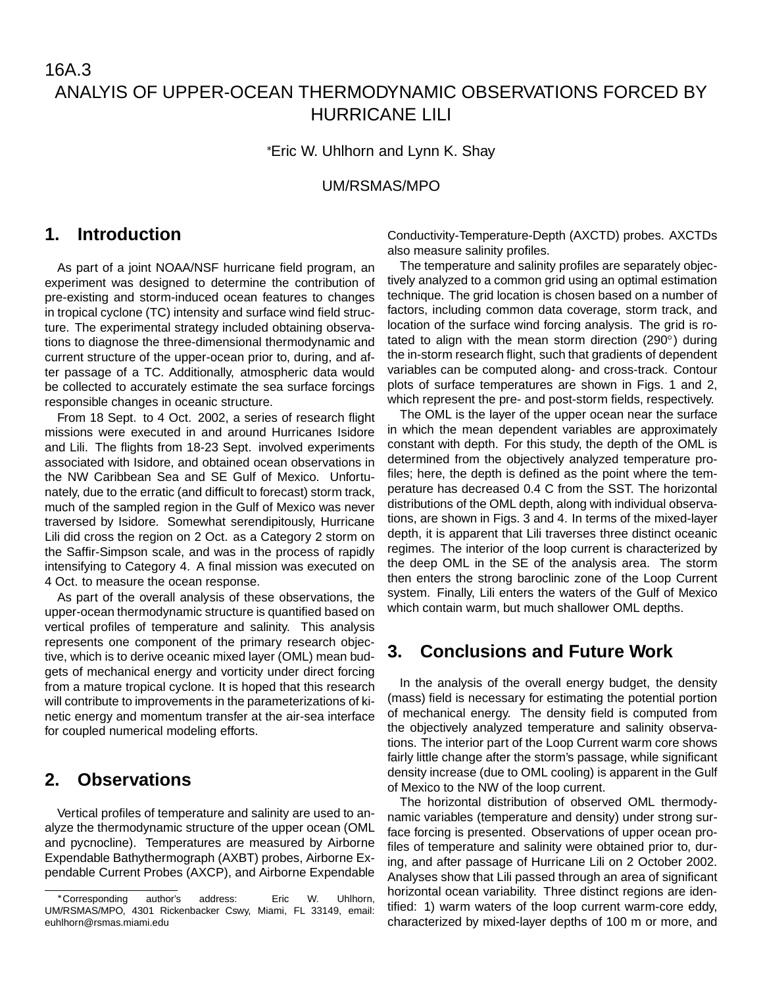# 16A.3 ANALYIS OF UPPER-OCEAN THERMODYNAMIC OBSERVATIONS FORCED BY HURRICANE LILI

Eric W. Uhlhorn and Lynn K. Shay

UM/RSMAS/MPO

## **1. Introduction**

As part of a joint NOAA/NSF hurricane field program, an experiment was designed to determine the contribution of pre-existing and storm-induced ocean features to changes in tropical cyclone (TC) intensity and surface wind field structure. The experimental strategy included obtaining observations to diagnose the three-dimensional thermodynamic and current structure of the upper-ocean prior to, during, and after passage of a TC. Additionally, atmospheric data would be collected to accurately estimate the sea surface forcings responsible changes in oceanic structure.

From 18 Sept. to 4 Oct. 2002, a series of research flight missions were executed in and around Hurricanes Isidore and Lili. The flights from 18-23 Sept. involved experiments associated with Isidore, and obtained ocean observations in the NW Caribbean Sea and SE Gulf of Mexico. Unfortunately, due to the erratic (and difficult to forecast) storm track, much of the sampled region in the Gulf of Mexico was never traversed by Isidore. Somewhat serendipitously, Hurricane Lili did cross the region on 2 Oct. as a Category 2 storm on the Saffir-Simpson scale, and was in the process of rapidly intensifying to Category 4. A final mission was executed on 4 Oct. to measure the ocean response.

As part of the overall analysis of these observations, the upper-ocean thermodynamic structure is quantified based on vertical profiles of temperature and salinity. This analysis represents one component of the primary research objective, which is to derive oceanic mixed layer (OML) mean budgets of mechanical energy and vorticity under direct forcing from a mature tropical cyclone. It is hoped that this research will contribute to improvements in the parameterizations of kinetic energy and momentum transfer at the air-sea interface for coupled numerical modeling efforts.

# **2. Observations**

Vertical profiles of temperature and salinity are used to analyze the thermodynamic structure of the upper ocean (OML and pycnocline). Temperatures are measured by Airborne Expendable Bathythermograph (AXBT) probes, Airborne Expendable Current Probes (AXCP), and Airborne Expendable

Conductivity-Temperature-Depth (AXCTD) probes. AXCTDs also measure salinity profiles.

The temperature and salinity profiles are separately objectively analyzed to a common grid using an optimal estimation technique. The grid location is chosen based on a number of factors, including common data coverage, storm track, and location of the surface wind forcing analysis. The grid is rotated to align with the mean storm direction (290 $^{\circ}$ ) during the in-storm research flight, such that gradients of dependent variables can be computed along- and cross-track. Contour plots of surface temperatures are shown in Figs. 1 and 2, which represent the pre- and post-storm fields, respectively.

The OML is the layer of the upper ocean near the surface in which the mean dependent variables are approximately constant with depth. For this study, the depth of the OML is determined from the objectively analyzed temperature profiles; here, the depth is defined as the point where the temperature has decreased 0.4 C from the SST. The horizontal distributions of the OML depth, along with individual observations, are shown in Figs. 3 and 4. In terms of the mixed-layer depth, it is apparent that Lili traverses three distinct oceanic regimes. The interior of the loop current is characterized by the deep OML in the SE of the analysis area. The storm then enters the strong baroclinic zone of the Loop Current system. Finally, Lili enters the waters of the Gulf of Mexico which contain warm, but much shallower OML depths.

## **3. Conclusions and Future Work**

In the analysis of the overall energy budget, the density (mass) field is necessary for estimating the potential portion of mechanical energy. The density field is computed from the objectively analyzed temperature and salinity observations. The interior part of the Loop Current warm core shows fairly little change after the storm's passage, while significant density increase (due to OML cooling) is apparent in the Gulf of Mexico to the NW of the loop current.

The horizontal distribution of observed OML thermodynamic variables (temperature and density) under strong surface forcing is presented. Observations of upper ocean profiles of temperature and salinity were obtained prior to, during, and after passage of Hurricane Lili on 2 October 2002. Analyses show that Lili passed through an area of significant horizontal ocean variability. Three distinct regions are identified: 1) warm waters of the loop current warm-core eddy, characterized by mixed-layer depths of 100 m or more, and

Corresponding author's address: Eric W. Uhlhorn, UM/RSMAS/MPO, 4301 Rickenbacker Cswy, Miami, FL 33149, email: euhlhorn@rsmas.miami.edu